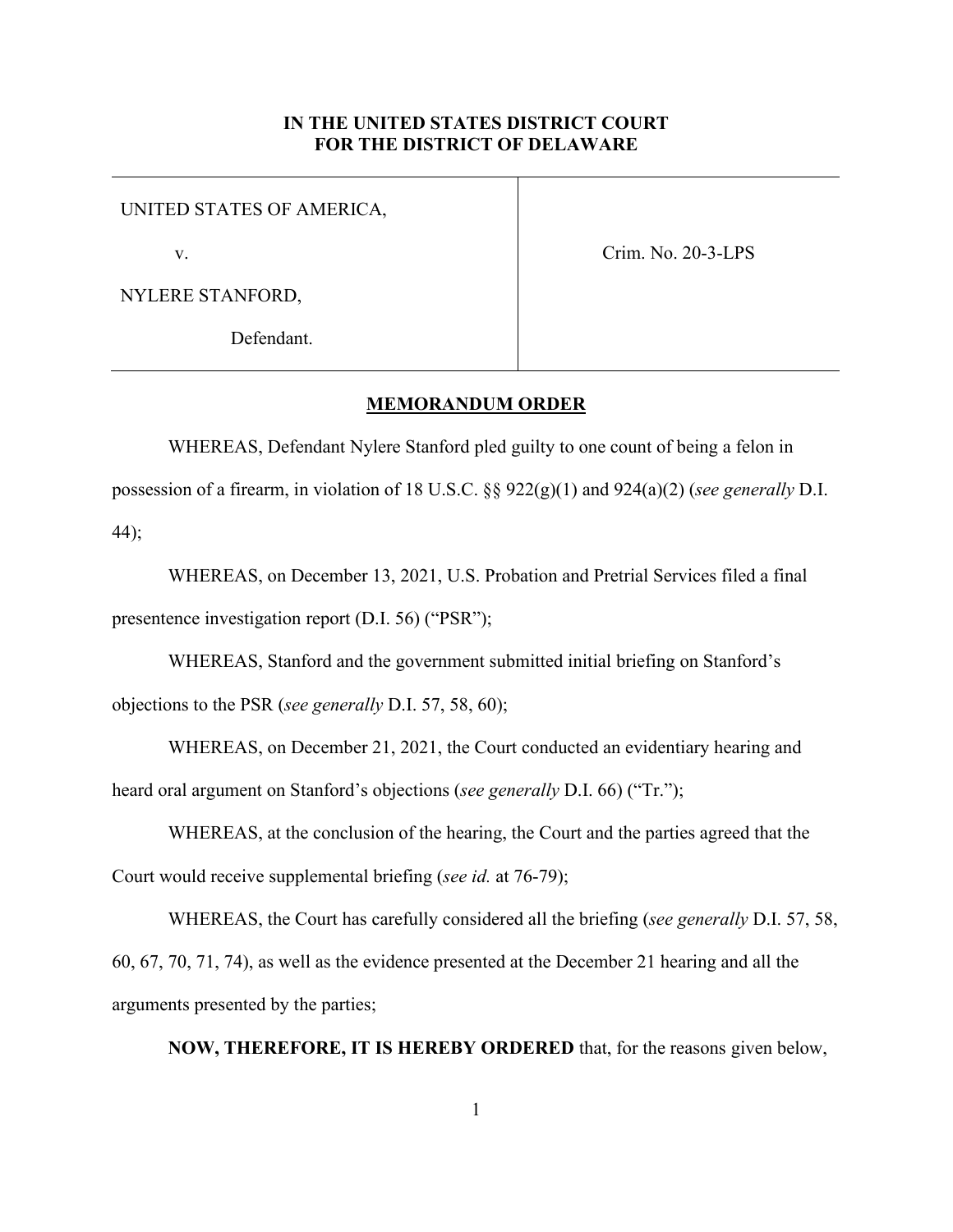## **IN THE UNITED STATES DISTRICT COURT FOR THE DISTRICT OF DELAWARE**

## UNITED STATES OF AMERICA,

v.

Crim. No. 20-3-LPS

NYLERE STANFORD,

Defendant.

## **MEMORANDUM ORDER**

WHEREAS, Defendant Nylere Stanford pled guilty to one count of being a felon in possession of a firearm, in violation of 18 U.S.C. §§ 922(g)(1) and 924(a)(2) (*see generally* D.I. 44);

WHEREAS, on December 13, 2021, U.S. Probation and Pretrial Services filed a final presentence investigation report (D.I. 56) ("PSR");

WHEREAS, Stanford and the government submitted initial briefing on Stanford's objections to the PSR (*see generally* D.I. 57, 58, 60);

WHEREAS, on December 21, 2021, the Court conducted an evidentiary hearing and heard oral argument on Stanford's objections (*see generally* D.I. 66) ("Tr.");

WHEREAS, at the conclusion of the hearing, the Court and the parties agreed that the Court would receive supplemental briefing (*see id.* at 76-79);

WHEREAS, the Court has carefully considered all the briefing (*see generally* D.I. 57, 58, 60, 67, 70, 71, 74), as well as the evidence presented at the December 21 hearing and all the arguments presented by the parties;

**NOW, THEREFORE, IT IS HEREBY ORDERED** that, for the reasons given below,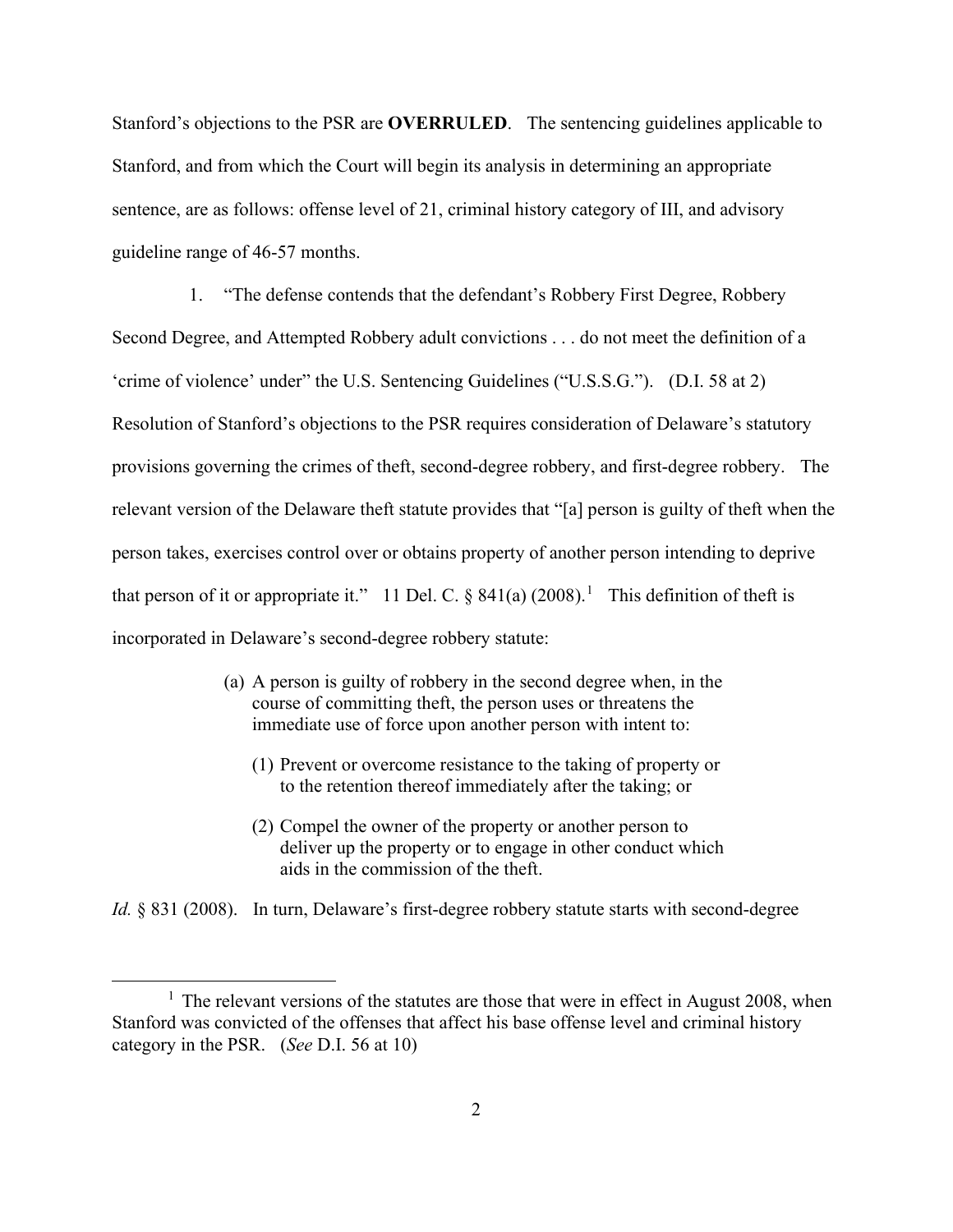Stanford's objections to the PSR are **OVERRULED**. The sentencing guidelines applicable to Stanford, and from which the Court will begin its analysis in determining an appropriate sentence, are as follows: offense level of 21, criminal history category of III, and advisory guideline range of 46-57 months.

1. "The defense contends that the defendant's Robbery First Degree, Robbery Second Degree, and Attempted Robbery adult convictions . . . do not meet the definition of a 'crime of violence' under" the U.S. Sentencing Guidelines ("U.S.S.G."). (D.I. 58 at 2) Resolution of Stanford's objections to the PSR requires consideration of Delaware's statutory provisions governing the crimes of theft, second-degree robbery, and first-degree robbery. The relevant version of the Delaware theft statute provides that "[a] person is guilty of theft when the person takes, exercises control over or obtains property of another person intending to deprive that person of it or appropriate it." 11 Del. C.  $\S$  841(a) (2008).<sup>1</sup> This definition of theft is incorporated in Delaware's second-degree robbery statute:

- (a) A person is guilty of robbery in the second degree when, in the course of committing theft, the person uses or threatens the immediate use of force upon another person with intent to:
	- (1) Prevent or overcome resistance to the taking of property or to the retention thereof immediately after the taking; or
	- (2) Compel the owner of the property or another person to deliver up the property or to engage in other conduct which aids in the commission of the theft.

*Id.* § 831 (2008). In turn, Delaware's first-degree robbery statute starts with second-degree

 $<sup>1</sup>$  The relevant versions of the statutes are those that were in effect in August 2008, when</sup> Stanford was convicted of the offenses that affect his base offense level and criminal history category in the PSR. (*See* D.I. 56 at 10)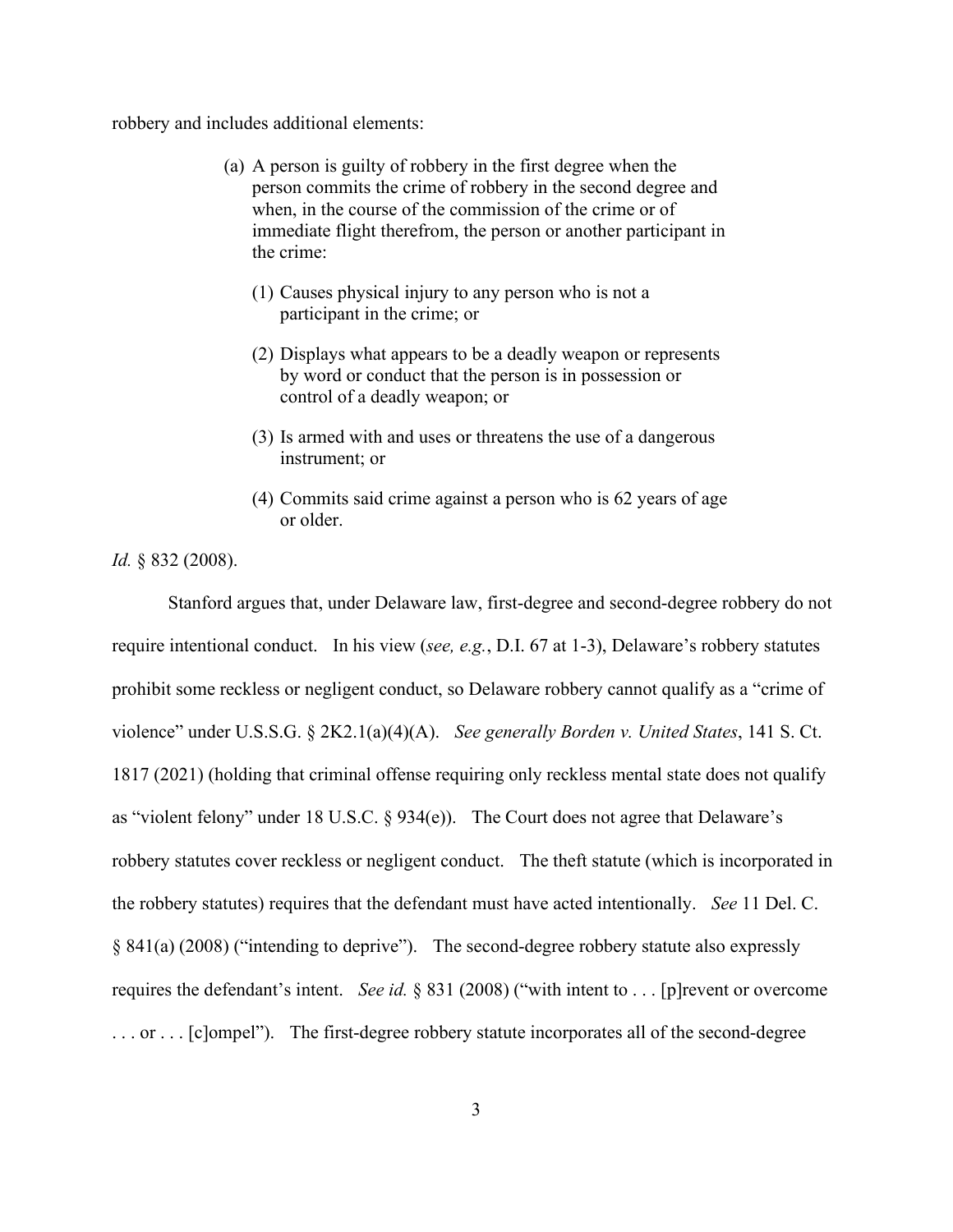robbery and includes additional elements:

- (a) A person is guilty of robbery in the first degree when the person commits the crime of robbery in the second degree and when, in the course of the commission of the crime or of immediate flight therefrom, the person or another participant in the crime:
	- (1) Causes physical injury to any person who is not a participant in the crime; or
	- (2) Displays what appears to be a deadly weapon or represents by word or conduct that the person is in possession or control of a deadly weapon; or
	- (3) Is armed with and uses or threatens the use of a dangerous instrument; or
	- (4) Commits said crime against a person who is 62 years of age or older.

*Id.* § 832 (2008).

Stanford argues that, under Delaware law, first-degree and second-degree robbery do not require intentional conduct. In his view (*see, e.g.*, D.I. 67 at 1-3), Delaware's robbery statutes prohibit some reckless or negligent conduct, so Delaware robbery cannot qualify as a "crime of violence" under U.S.S.G. § 2K2.1(a)(4)(A). *See generally Borden v. United States*, 141 S. Ct. 1817 (2021) (holding that criminal offense requiring only reckless mental state does not qualify as "violent felony" under 18 U.S.C. § 934(e)). The Court does not agree that Delaware's robbery statutes cover reckless or negligent conduct. The theft statute (which is incorporated in the robbery statutes) requires that the defendant must have acted intentionally. *See* 11 Del. C. § 841(a) (2008) ("intending to deprive"). The second-degree robbery statute also expressly requires the defendant's intent. *See id.* § 831 (2008) ("with intent to . . . [p]revent or overcome ... or ... [c]ompel"). The first-degree robbery statute incorporates all of the second-degree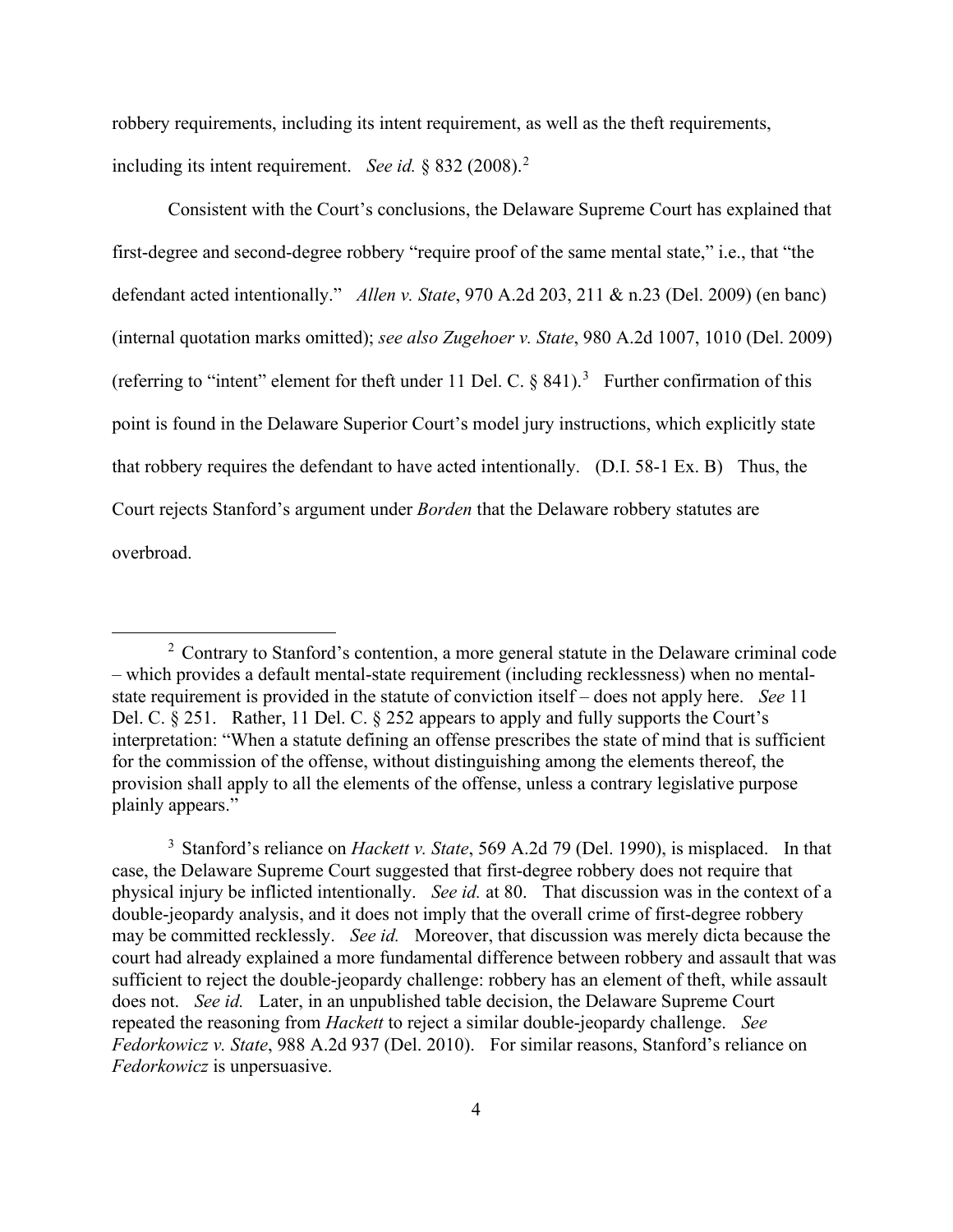robbery requirements, including its intent requirement, as well as the theft requirements, including its intent requirement. *See id.* § 832 (2008).<sup>2</sup>

Consistent with the Court's conclusions, the Delaware Supreme Court has explained that first-degree and second-degree robbery "require proof of the same mental state," i.e., that "the defendant acted intentionally." *Allen v. State*, 970 A.2d 203, 211 & n.23 (Del. 2009) (en banc) (internal quotation marks omitted); *see also Zugehoer v. State*, 980 A.2d 1007, 1010 (Del. 2009) (referring to "intent" element for theft under 11 Del. C.  $\S$  841).<sup>3</sup> Further confirmation of this point is found in the Delaware Superior Court's model jury instructions, which explicitly state that robbery requires the defendant to have acted intentionally. (D.I. 58-1 Ex. B) Thus, the Court rejects Stanford's argument under *Borden* that the Delaware robbery statutes are overbroad.

 $2$  Contrary to Stanford's contention, a more general statute in the Delaware criminal code – which provides a default mental-state requirement (including recklessness) when no mentalstate requirement is provided in the statute of conviction itself – does not apply here. *See* 11 Del. C. § 251. Rather, 11 Del. C. § 252 appears to apply and fully supports the Court's interpretation: "When a statute defining an offense prescribes the state of mind that is sufficient for the commission of the offense, without distinguishing among the elements thereof, the provision shall apply to all the elements of the offense, unless a contrary legislative purpose plainly appears."

<sup>3</sup> Stanford's reliance on *Hackett v. State*, 569 A.2d 79 (Del. 1990), is misplaced. In that case, the Delaware Supreme Court suggested that first-degree robbery does not require that physical injury be inflicted intentionally. *See id.* at 80. That discussion was in the context of a double-jeopardy analysis, and it does not imply that the overall crime of first-degree robbery may be committed recklessly. *See id.* Moreover, that discussion was merely dicta because the court had already explained a more fundamental difference between robbery and assault that was sufficient to reject the double-jeopardy challenge: robbery has an element of theft, while assault does not. *See id.* Later, in an unpublished table decision, the Delaware Supreme Court repeated the reasoning from *Hackett* to reject a similar double-jeopardy challenge. *See Fedorkowicz v. State*, 988 A.2d 937 (Del. 2010). For similar reasons, Stanford's reliance on *Fedorkowicz* is unpersuasive.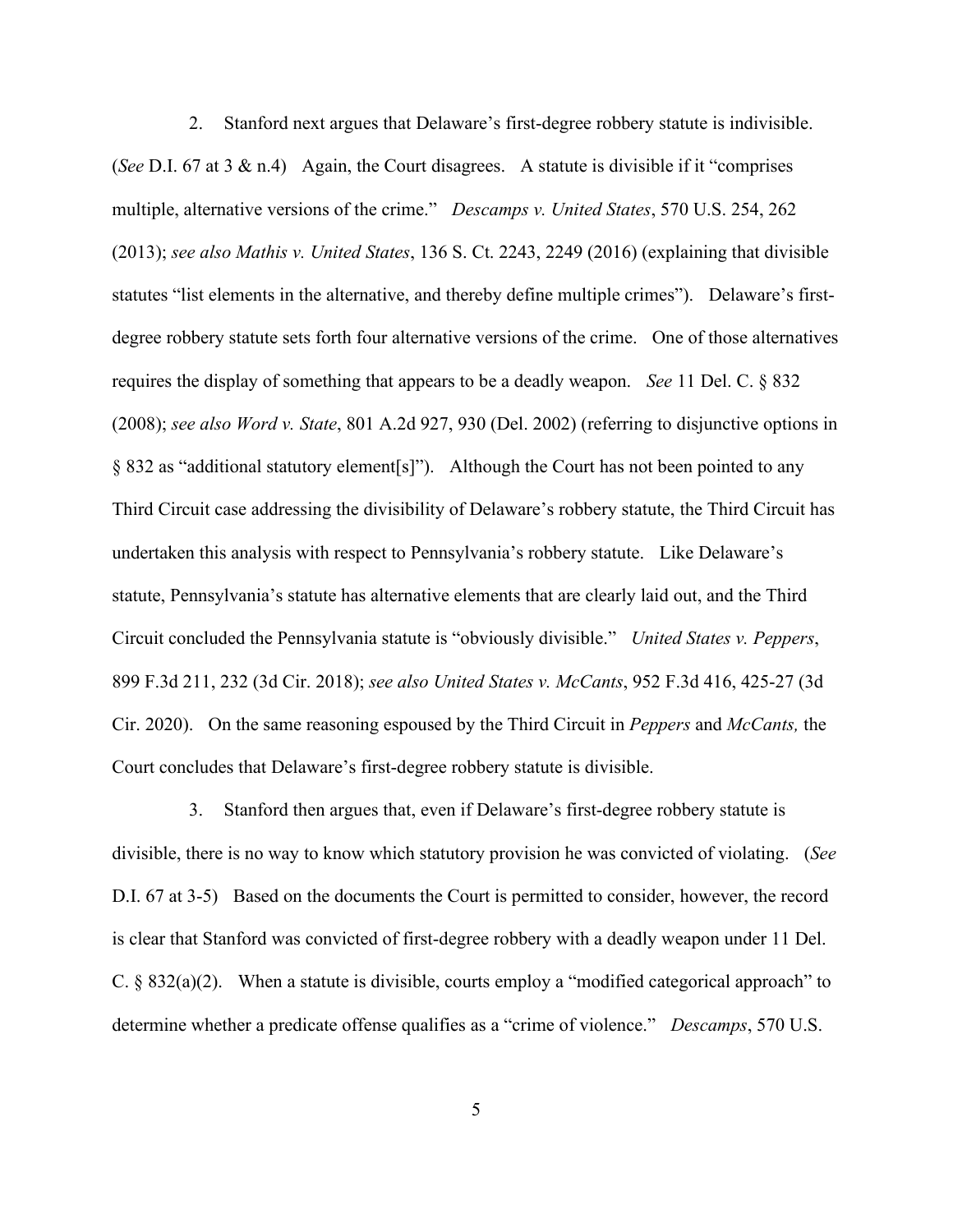2. Stanford next argues that Delaware's first-degree robbery statute is indivisible. (*See* D.I. 67 at 3 & n.4) Again, the Court disagrees. A statute is divisible if it "comprises multiple, alternative versions of the crime." *Descamps v. United States*, 570 U.S. 254, 262 (2013); *see also Mathis v. United States*, 136 S. Ct. 2243, 2249 (2016) (explaining that divisible statutes "list elements in the alternative, and thereby define multiple crimes"). Delaware's firstdegree robbery statute sets forth four alternative versions of the crime. One of those alternatives requires the display of something that appears to be a deadly weapon. *See* 11 Del. C. § 832 (2008); *see also Word v. State*, 801 A.2d 927, 930 (Del. 2002) (referring to disjunctive options in § 832 as "additional statutory element[s]"). Although the Court has not been pointed to any Third Circuit case addressing the divisibility of Delaware's robbery statute, the Third Circuit has undertaken this analysis with respect to Pennsylvania's robbery statute. Like Delaware's statute, Pennsylvania's statute has alternative elements that are clearly laid out, and the Third Circuit concluded the Pennsylvania statute is "obviously divisible." *United States v. Peppers*, 899 F.3d 211, 232 (3d Cir. 2018); *see also United States v. McCants*, 952 F.3d 416, 425-27 (3d Cir. 2020). On the same reasoning espoused by the Third Circuit in *Peppers* and *McCants,* the Court concludes that Delaware's first-degree robbery statute is divisible.

3. Stanford then argues that, even if Delaware's first-degree robbery statute is divisible, there is no way to know which statutory provision he was convicted of violating. (*See* D.I. 67 at 3-5) Based on the documents the Court is permitted to consider, however, the record is clear that Stanford was convicted of first-degree robbery with a deadly weapon under 11 Del. C. § 832(a)(2). When a statute is divisible, courts employ a "modified categorical approach" to determine whether a predicate offense qualifies as a "crime of violence." *Descamps*, 570 U.S.

5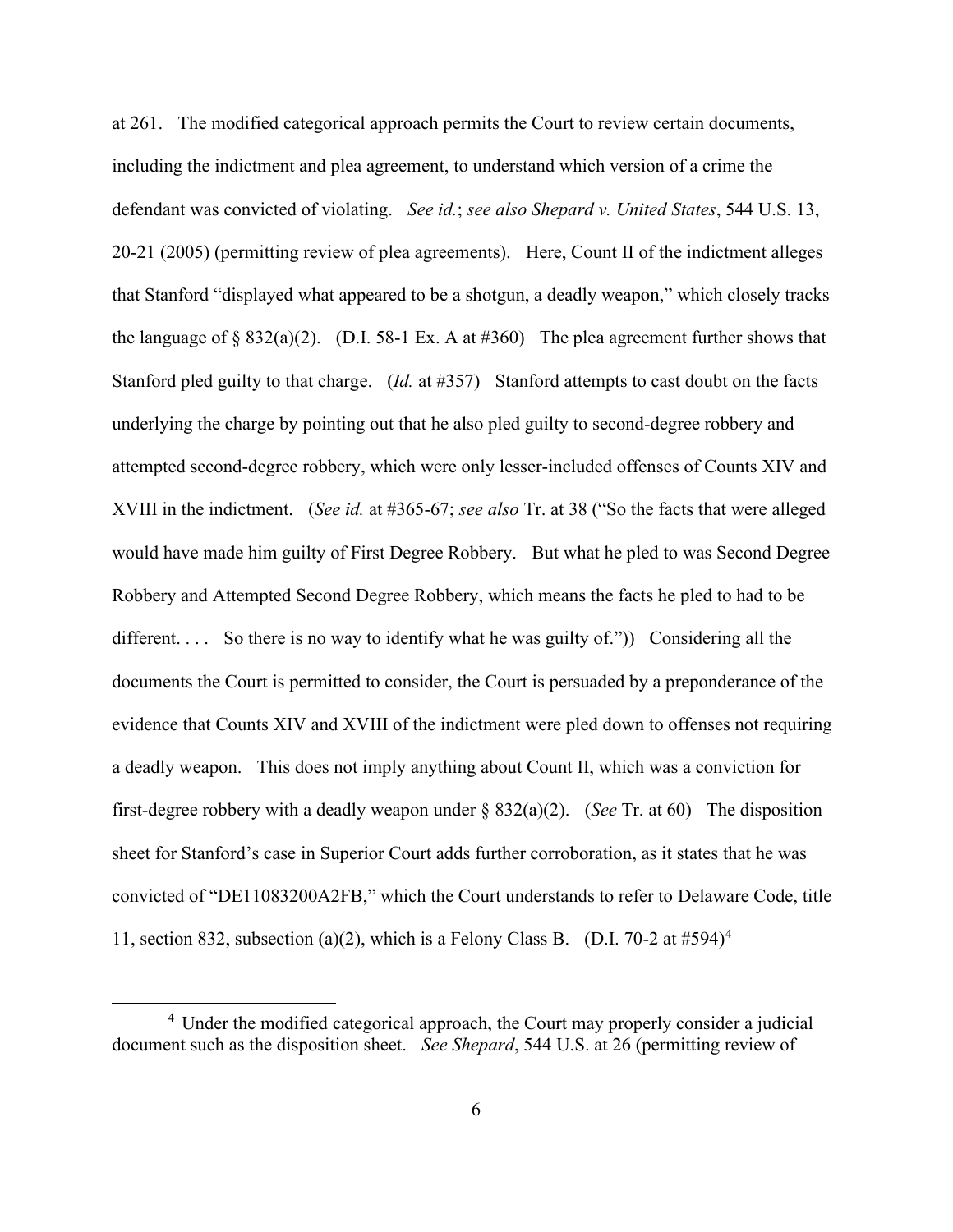at 261. The modified categorical approach permits the Court to review certain documents, including the indictment and plea agreement, to understand which version of a crime the defendant was convicted of violating. *See id.*; *see also Shepard v. United States*, 544 U.S. 13, 20-21 (2005) (permitting review of plea agreements). Here, Count II of the indictment alleges that Stanford "displayed what appeared to be a shotgun, a deadly weapon," which closely tracks the language of § 832(a)(2). (D.I. 58-1 Ex. A at #360) The plea agreement further shows that Stanford pled guilty to that charge. (*Id.* at #357) Stanford attempts to cast doubt on the facts underlying the charge by pointing out that he also pled guilty to second-degree robbery and attempted second-degree robbery, which were only lesser-included offenses of Counts XIV and XVIII in the indictment. (*See id.* at #365-67; *see also* Tr. at 38 ("So the facts that were alleged would have made him guilty of First Degree Robbery. But what he pled to was Second Degree Robbery and Attempted Second Degree Robbery, which means the facts he pled to had to be different.... So there is no way to identify what he was guilty of.")) Considering all the documents the Court is permitted to consider, the Court is persuaded by a preponderance of the evidence that Counts XIV and XVIII of the indictment were pled down to offenses not requiring a deadly weapon. This does not imply anything about Count II, which was a conviction for first-degree robbery with a deadly weapon under § 832(a)(2). (*See* Tr. at 60) The disposition sheet for Stanford's case in Superior Court adds further corroboration, as it states that he was convicted of "DE11083200A2FB," which the Court understands to refer to Delaware Code, title 11, section 832, subsection (a)(2), which is a Felony Class B. (D.I. 70-2 at  $\#594$ )<sup>4</sup>

<sup>&</sup>lt;sup>4</sup> Under the modified categorical approach, the Court may properly consider a judicial document such as the disposition sheet. *See Shepard*, 544 U.S. at 26 (permitting review of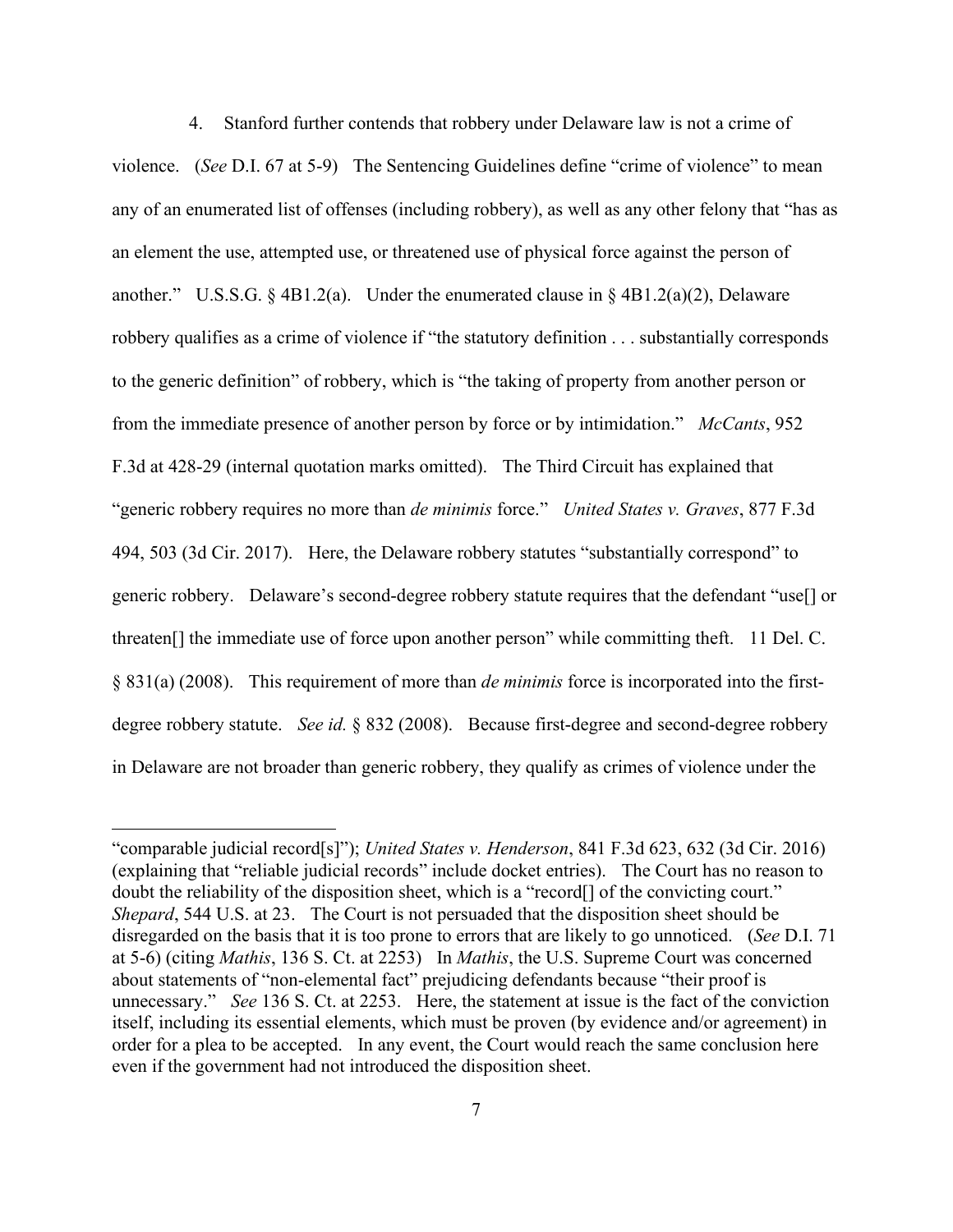4. Stanford further contends that robbery under Delaware law is not a crime of violence. (*See* D.I. 67 at 5-9) The Sentencing Guidelines define "crime of violence" to mean any of an enumerated list of offenses (including robbery), as well as any other felony that "has as an element the use, attempted use, or threatened use of physical force against the person of another." U.S.S.G. § 4B1.2(a). Under the enumerated clause in § 4B1.2(a)(2), Delaware robbery qualifies as a crime of violence if "the statutory definition . . . substantially corresponds to the generic definition" of robbery, which is "the taking of property from another person or from the immediate presence of another person by force or by intimidation." *McCants*, 952 F.3d at 428-29 (internal quotation marks omitted). The Third Circuit has explained that "generic robbery requires no more than *de minimis* force." *United States v. Graves*, 877 F.3d 494, 503 (3d Cir. 2017). Here, the Delaware robbery statutes "substantially correspond" to generic robbery. Delaware's second-degree robbery statute requires that the defendant "use[] or threaten[] the immediate use of force upon another person" while committing theft. 11 Del. C. § 831(a) (2008). This requirement of more than *de minimis* force is incorporated into the firstdegree robbery statute. *See id.* § 832 (2008). Because first-degree and second-degree robbery in Delaware are not broader than generic robbery, they qualify as crimes of violence under the

<sup>&</sup>quot;comparable judicial record[s]"); *United States v. Henderson*, 841 F.3d 623, 632 (3d Cir. 2016) (explaining that "reliable judicial records" include docket entries). The Court has no reason to doubt the reliability of the disposition sheet, which is a "record[] of the convicting court." *Shepard*, 544 U.S. at 23. The Court is not persuaded that the disposition sheet should be disregarded on the basis that it is too prone to errors that are likely to go unnoticed. (*See* D.I. 71 at 5-6) (citing *Mathis*, 136 S. Ct. at 2253) In *Mathis*, the U.S. Supreme Court was concerned about statements of "non-elemental fact" prejudicing defendants because "their proof is unnecessary." *See* 136 S. Ct. at 2253. Here, the statement at issue is the fact of the conviction itself, including its essential elements, which must be proven (by evidence and/or agreement) in order for a plea to be accepted. In any event, the Court would reach the same conclusion here even if the government had not introduced the disposition sheet.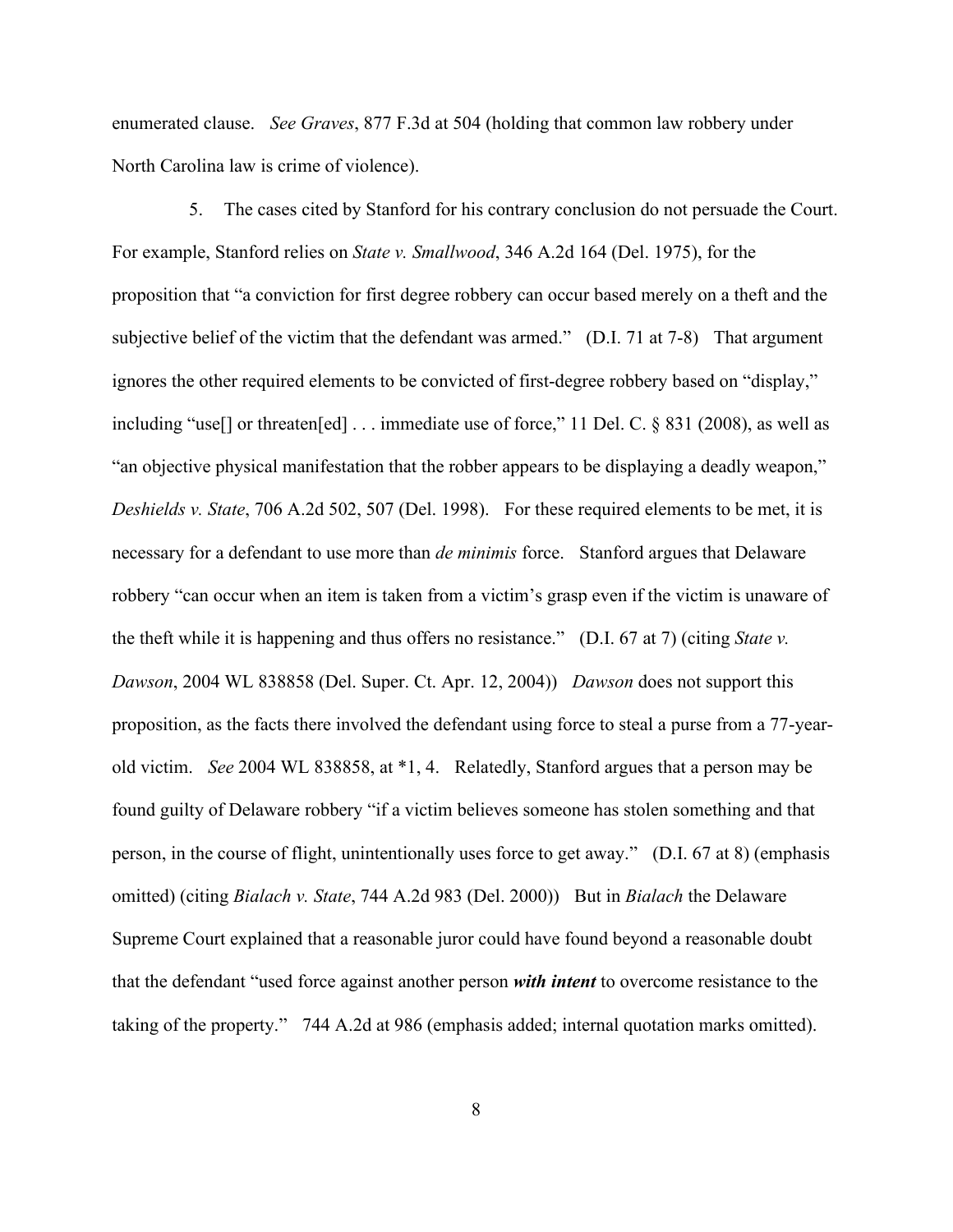enumerated clause. *See Graves*, 877 F.3d at 504 (holding that common law robbery under North Carolina law is crime of violence).

5. The cases cited by Stanford for his contrary conclusion do not persuade the Court. For example, Stanford relies on *State v. Smallwood*, 346 A.2d 164 (Del. 1975), for the proposition that "a conviction for first degree robbery can occur based merely on a theft and the subjective belief of the victim that the defendant was armed." (D.I. 71 at 7-8) That argument ignores the other required elements to be convicted of first-degree robbery based on "display," including "use[] or threaten[ed] . . . immediate use of force," 11 Del. C. § 831 (2008), as well as "an objective physical manifestation that the robber appears to be displaying a deadly weapon," *Deshields v. State*, 706 A.2d 502, 507 (Del. 1998). For these required elements to be met, it is necessary for a defendant to use more than *de minimis* force. Stanford argues that Delaware robbery "can occur when an item is taken from a victim's grasp even if the victim is unaware of the theft while it is happening and thus offers no resistance." (D.I. 67 at 7) (citing *State v. Dawson*, 2004 WL 838858 (Del. Super. Ct. Apr. 12, 2004)) *Dawson* does not support this proposition, as the facts there involved the defendant using force to steal a purse from a 77-yearold victim. *See* 2004 WL 838858, at \*1, 4. Relatedly, Stanford argues that a person may be found guilty of Delaware robbery "if a victim believes someone has stolen something and that person, in the course of flight, unintentionally uses force to get away." (D.I. 67 at 8) (emphasis omitted) (citing *Bialach v. State*, 744 A.2d 983 (Del. 2000)) But in *Bialach* the Delaware Supreme Court explained that a reasonable juror could have found beyond a reasonable doubt that the defendant "used force against another person *with intent* to overcome resistance to the taking of the property." 744 A.2d at 986 (emphasis added; internal quotation marks omitted).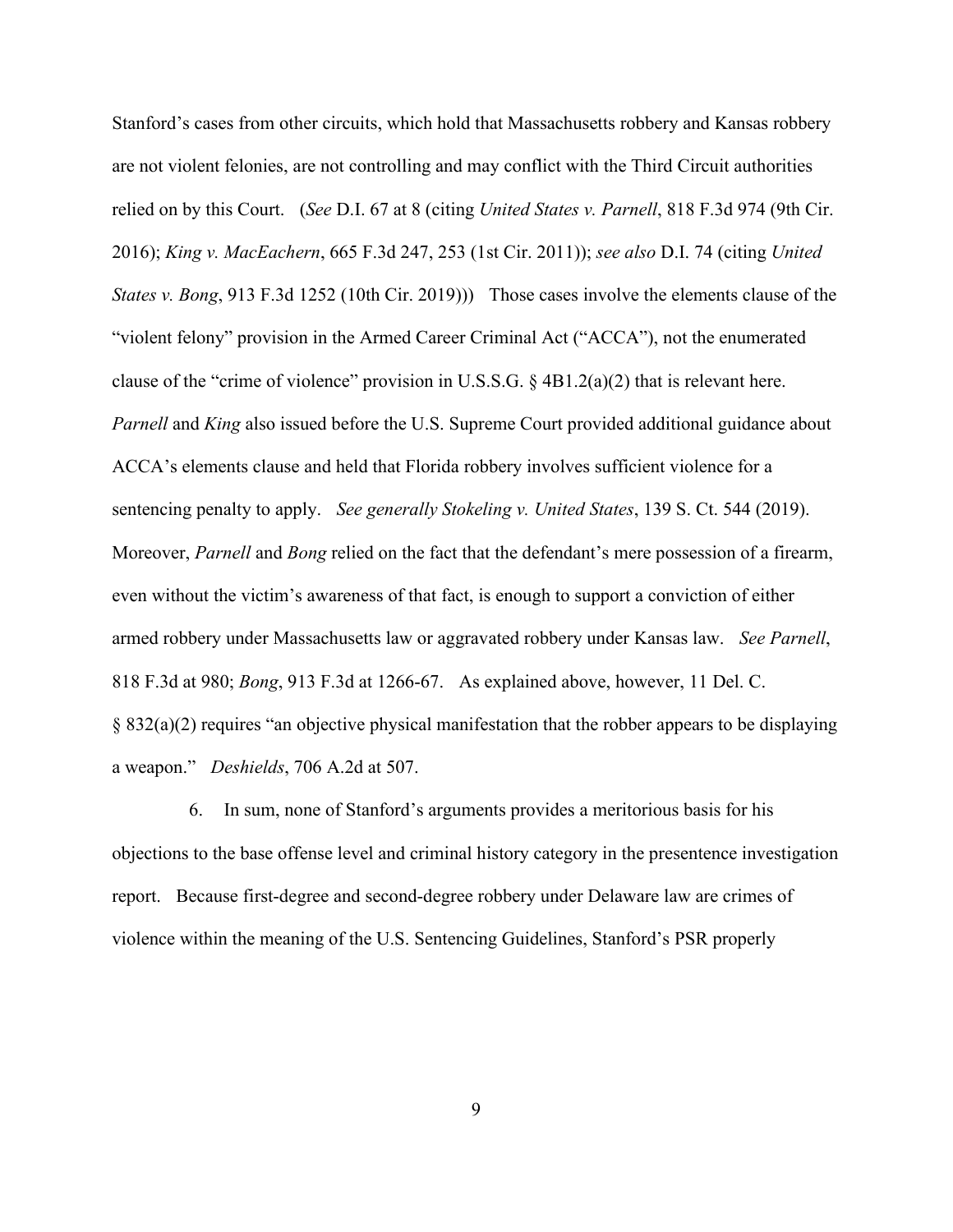Stanford's cases from other circuits, which hold that Massachusetts robbery and Kansas robbery are not violent felonies, are not controlling and may conflict with the Third Circuit authorities relied on by this Court. (*See* D.I. 67 at 8 (citing *United States v. Parnell*, 818 F.3d 974 (9th Cir. 2016); *King v. MacEachern*, 665 F.3d 247, 253 (1st Cir. 2011)); *see also* D.I. 74 (citing *United States v. Bong*, 913 F.3d 1252 (10th Cir. 2019))) Those cases involve the elements clause of the "violent felony" provision in the Armed Career Criminal Act ("ACCA"), not the enumerated clause of the "crime of violence" provision in U.S.S.G. § 4B1.2(a)(2) that is relevant here. *Parnell* and *King* also issued before the U.S. Supreme Court provided additional guidance about ACCA's elements clause and held that Florida robbery involves sufficient violence for a sentencing penalty to apply. *See generally Stokeling v. United States*, 139 S. Ct. 544 (2019). Moreover, *Parnell* and *Bong* relied on the fact that the defendant's mere possession of a firearm, even without the victim's awareness of that fact, is enough to support a conviction of either armed robbery under Massachusetts law or aggravated robbery under Kansas law. *See Parnell*, 818 F.3d at 980; *Bong*, 913 F.3d at 1266-67. As explained above, however, 11 Del. C. § 832(a)(2) requires "an objective physical manifestation that the robber appears to be displaying a weapon." *Deshields*, 706 A.2d at 507.

6. In sum, none of Stanford's arguments provides a meritorious basis for his objections to the base offense level and criminal history category in the presentence investigation report. Because first-degree and second-degree robbery under Delaware law are crimes of violence within the meaning of the U.S. Sentencing Guidelines, Stanford's PSR properly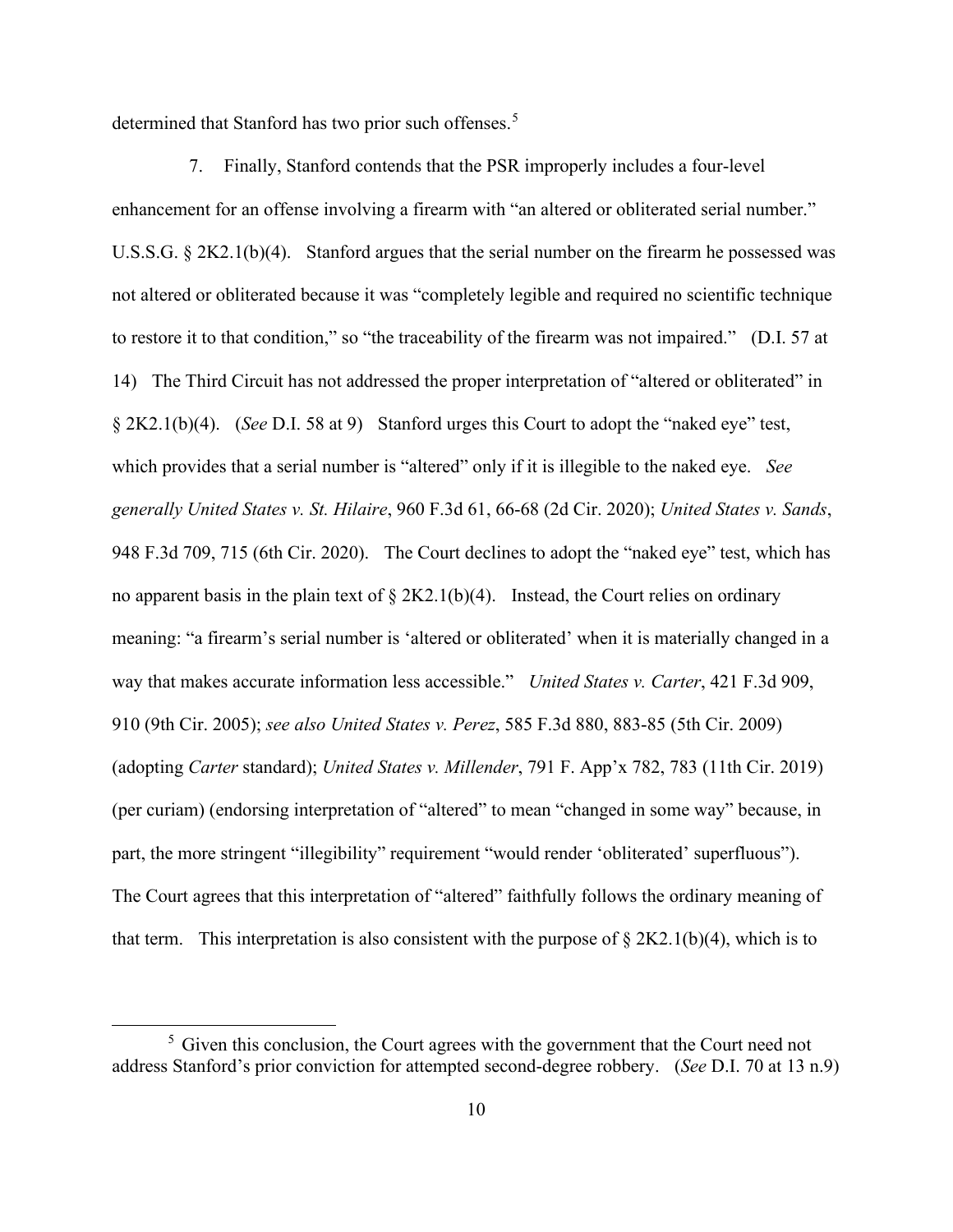determined that Stanford has two prior such offenses.<sup>5</sup>

7. Finally, Stanford contends that the PSR improperly includes a four-level enhancement for an offense involving a firearm with "an altered or obliterated serial number." U.S.S.G. § 2K2.1(b)(4). Stanford argues that the serial number on the firearm he possessed was not altered or obliterated because it was "completely legible and required no scientific technique to restore it to that condition," so "the traceability of the firearm was not impaired." (D.I. 57 at 14) The Third Circuit has not addressed the proper interpretation of "altered or obliterated" in § 2K2.1(b)(4). (*See* D.I. 58 at 9) Stanford urges this Court to adopt the "naked eye" test, which provides that a serial number is "altered" only if it is illegible to the naked eye. *See generally United States v. St. Hilaire*, 960 F.3d 61, 66-68 (2d Cir. 2020); *United States v. Sands*, 948 F.3d 709, 715 (6th Cir. 2020). The Court declines to adopt the "naked eye" test, which has no apparent basis in the plain text of  $\S 2K2.1(b)(4)$ . Instead, the Court relies on ordinary meaning: "a firearm's serial number is 'altered or obliterated' when it is materially changed in a way that makes accurate information less accessible." *United States v. Carter*, 421 F.3d 909, 910 (9th Cir. 2005); *see also United States v. Perez*, 585 F.3d 880, 883-85 (5th Cir. 2009) (adopting *Carter* standard); *United States v. Millender*, 791 F. App'x 782, 783 (11th Cir. 2019) (per curiam) (endorsing interpretation of "altered" to mean "changed in some way" because, in part, the more stringent "illegibility" requirement "would render 'obliterated' superfluous"). The Court agrees that this interpretation of "altered" faithfully follows the ordinary meaning of that term. This interpretation is also consistent with the purpose of  $\S 2K2.1(b)(4)$ , which is to

 $<sup>5</sup>$  Given this conclusion, the Court agrees with the government that the Court need not</sup> address Stanford's prior conviction for attempted second-degree robbery. (*See* D.I. 70 at 13 n.9)